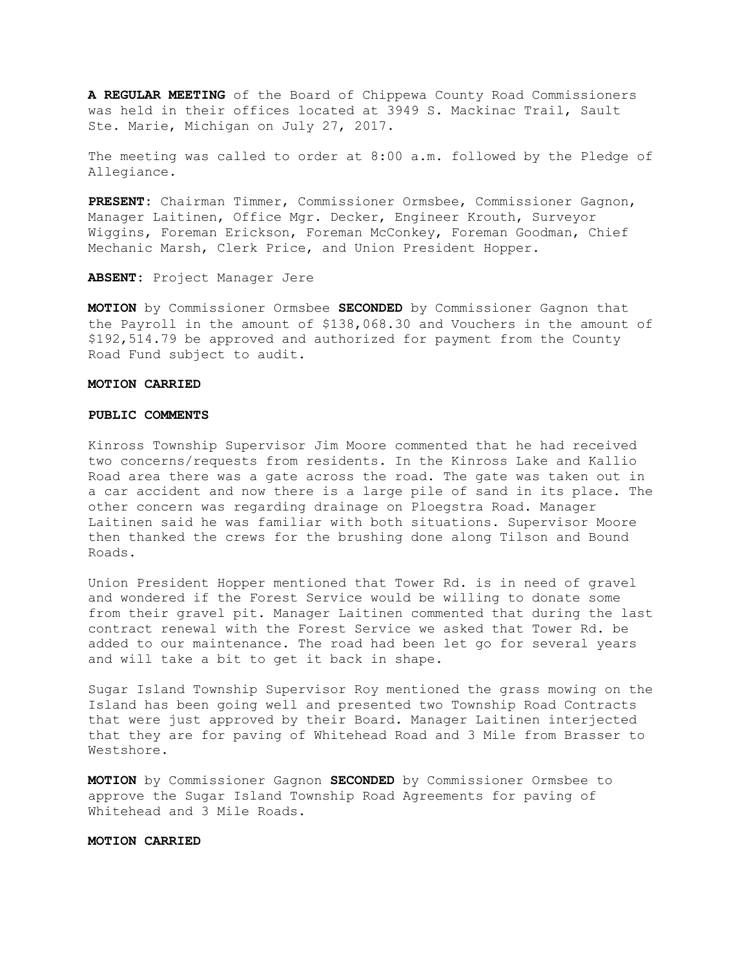**A REGULAR MEETING** of the Board of Chippewa County Road Commissioners was held in their offices located at 3949 S. Mackinac Trail, Sault Ste. Marie, Michigan on July 27, 2017.

The meeting was called to order at 8:00 a.m. followed by the Pledge of Allegiance.

**PRESENT:** Chairman Timmer, Commissioner Ormsbee, Commissioner Gagnon, Manager Laitinen, Office Mgr. Decker, Engineer Krouth, Surveyor Wiggins, Foreman Erickson, Foreman McConkey, Foreman Goodman, Chief Mechanic Marsh, Clerk Price, and Union President Hopper.

**ABSENT:** Project Manager Jere

**MOTION** by Commissioner Ormsbee **SECONDED** by Commissioner Gagnon that the Payroll in the amount of \$138,068.30 and Vouchers in the amount of \$192,514.79 be approved and authorized for payment from the County Road Fund subject to audit.

## **MOTION CARRIED**

#### **PUBLIC COMMENTS**

Kinross Township Supervisor Jim Moore commented that he had received two concerns/requests from residents. In the Kinross Lake and Kallio Road area there was a gate across the road. The gate was taken out in a car accident and now there is a large pile of sand in its place. The other concern was regarding drainage on Ploegstra Road. Manager Laitinen said he was familiar with both situations. Supervisor Moore then thanked the crews for the brushing done along Tilson and Bound Roads.

Union President Hopper mentioned that Tower Rd. is in need of gravel and wondered if the Forest Service would be willing to donate some from their gravel pit. Manager Laitinen commented that during the last contract renewal with the Forest Service we asked that Tower Rd. be added to our maintenance. The road had been let go for several years and will take a bit to get it back in shape.

Sugar Island Township Supervisor Roy mentioned the grass mowing on the Island has been going well and presented two Township Road Contracts that were just approved by their Board. Manager Laitinen interjected that they are for paving of Whitehead Road and 3 Mile from Brasser to Westshore.

**MOTION** by Commissioner Gagnon **SECONDED** by Commissioner Ormsbee to approve the Sugar Island Township Road Agreements for paving of Whitehead and 3 Mile Roads.

## **MOTION CARRIED**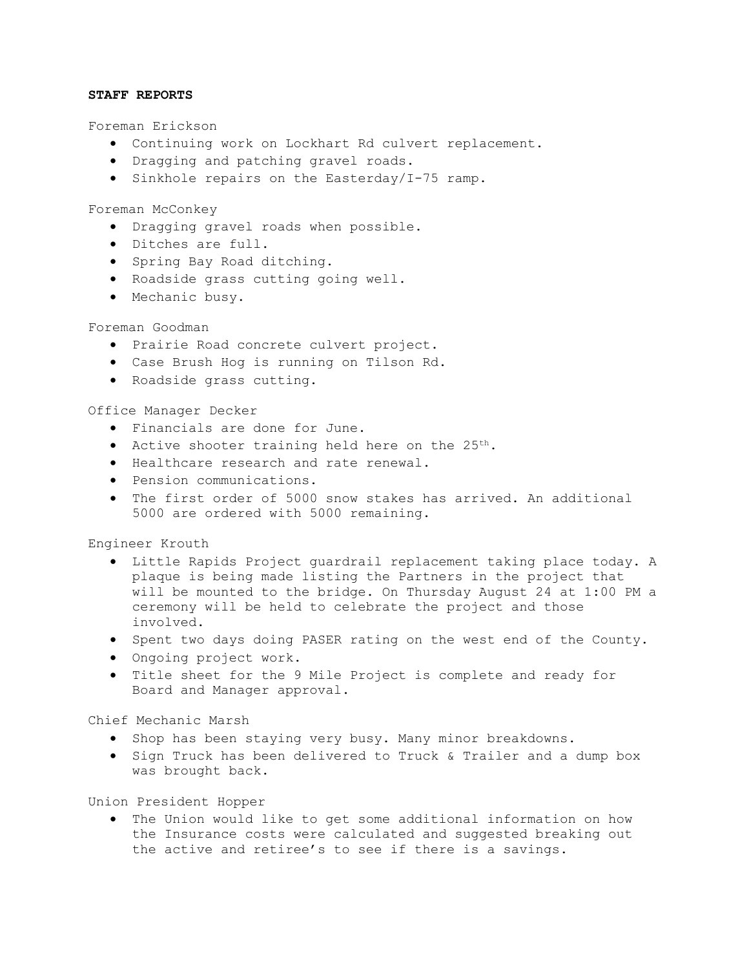## **STAFF REPORTS**

Foreman Erickson

- Continuing work on Lockhart Rd culvert replacement.
- Dragging and patching gravel roads.
- Sinkhole repairs on the Easterday/I-75 ramp.

Foreman McConkey

- Dragging gravel roads when possible.
- Ditches are full.
- Spring Bay Road ditching.
- Roadside grass cutting going well.
- Mechanic busy.

# Foreman Goodman

- Prairie Road concrete culvert project.
- Case Brush Hog is running on Tilson Rd.
- Roadside grass cutting.

## Office Manager Decker

- Financials are done for June.
- Active shooter training held here on the  $25^{th}$ .
- Healthcare research and rate renewal.
- Pension communications.
- The first order of 5000 snow stakes has arrived. An additional 5000 are ordered with 5000 remaining.

Engineer Krouth

- Little Rapids Project guardrail replacement taking place today. A plaque is being made listing the Partners in the project that will be mounted to the bridge. On Thursday August 24 at 1:00 PM a ceremony will be held to celebrate the project and those involved.
- Spent two days doing PASER rating on the west end of the County.
- Ongoing project work.
- Title sheet for the 9 Mile Project is complete and ready for Board and Manager approval.

Chief Mechanic Marsh

- Shop has been staying very busy. Many minor breakdowns.
- Sign Truck has been delivered to Truck & Trailer and a dump box was brought back.

Union President Hopper

• The Union would like to get some additional information on how the Insurance costs were calculated and suggested breaking out the active and retiree's to see if there is a savings.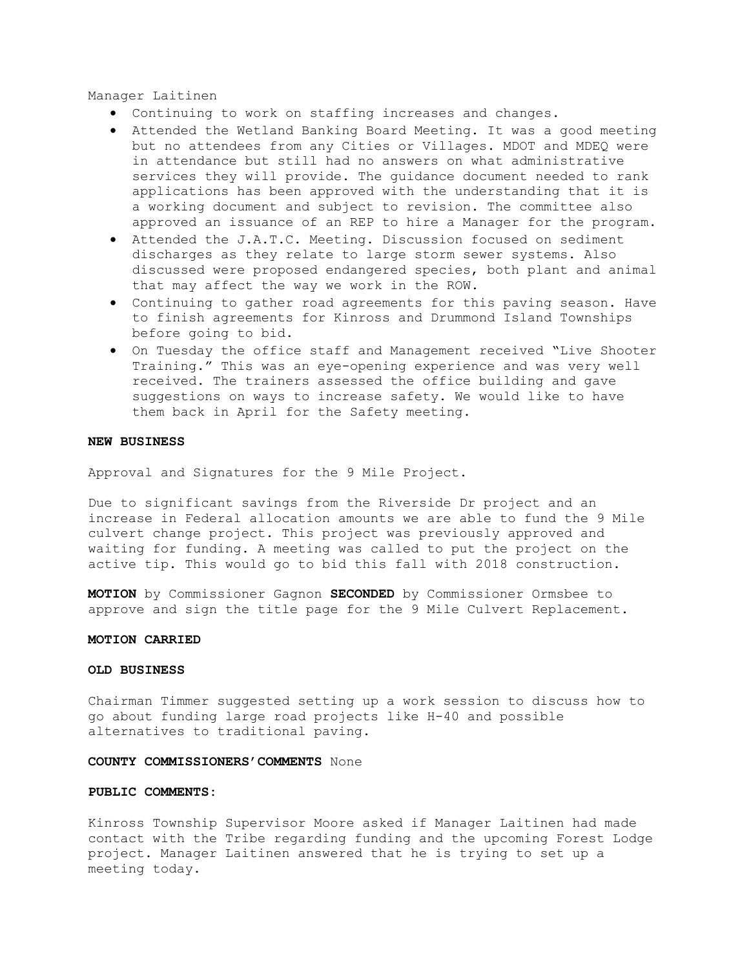Manager Laitinen

- Continuing to work on staffing increases and changes.
- Attended the Wetland Banking Board Meeting. It was a good meeting but no attendees from any Cities or Villages. MDOT and MDEQ were in attendance but still had no answers on what administrative services they will provide. The guidance document needed to rank applications has been approved with the understanding that it is a working document and subject to revision. The committee also approved an issuance of an REP to hire a Manager for the program.
- Attended the J.A.T.C. Meeting. Discussion focused on sediment discharges as they relate to large storm sewer systems. Also discussed were proposed endangered species, both plant and animal that may affect the way we work in the ROW.
- Continuing to gather road agreements for this paving season. Have to finish agreements for Kinross and Drummond Island Townships before going to bid.
- On Tuesday the office staff and Management received "Live Shooter Training." This was an eye-opening experience and was very well received. The trainers assessed the office building and gave suggestions on ways to increase safety. We would like to have them back in April for the Safety meeting.

#### **NEW BUSINESS**

Approval and Signatures for the 9 Mile Project.

Due to significant savings from the Riverside Dr project and an increase in Federal allocation amounts we are able to fund the 9 Mile culvert change project. This project was previously approved and waiting for funding. A meeting was called to put the project on the active tip. This would go to bid this fall with 2018 construction.

**MOTION** by Commissioner Gagnon **SECONDED** by Commissioner Ormsbee to approve and sign the title page for the 9 Mile Culvert Replacement.

## **MOTION CARRIED**

## **OLD BUSINESS**

Chairman Timmer suggested setting up a work session to discuss how to go about funding large road projects like H-40 and possible alternatives to traditional paving.

#### **COUNTY COMMISSIONERS'COMMENTS** None

#### **PUBLIC COMMENTS:**

Kinross Township Supervisor Moore asked if Manager Laitinen had made contact with the Tribe regarding funding and the upcoming Forest Lodge project. Manager Laitinen answered that he is trying to set up a meeting today.